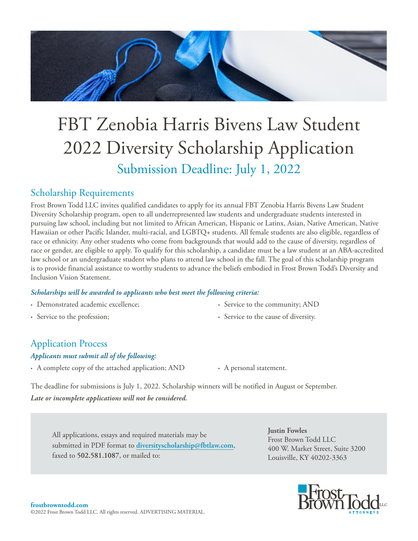

# FBT Zenobia Harris Bivens Law Student 2022 Diversity Scholarship Application Submission Deadline: July 1, 2022

# Scholarship Requirements

Frost Brown Todd LLC invites qualified candidates to apply for its annual FBT Zenobia Harris Bivens Law Student Diversity Scholarship program, open to all underrepresented law students and undergraduate students interested in pursuing law school, including but not limited to African American, Hispanic or Latinx, Asian, Native American, Native Hawaiian or other Pacific Islander, multi-racial, and LGBTQ+ students. All female students are also eligible, regardless of race or ethnicity. Any other students who come from backgrounds that would add to the cause of diversity, regardless of race or gender, are eligible to apply. To qualify for this scholarship, a candidate must be a law student at an ABA-accredited law school or an undergraduate student who plans to attend law school in the fall. The goal of this scholarship program is to provide financial assistance to worthy students to advance the beliefs embodied in Frost Brown Todd's Diversity and Inclusion Vision Statement.

#### *Scholarships will be awarded to applicants who best meet the following criteria:*

- **∙** Demonstrated academic excellence;
- **∙** Service to the profession;
- **∙** Service to the community; AND
- **∙** Service to the cause of diversity.

# Application Process

### *Applicants must submit all of the following:*

- **∙** A complete copy of the attached application; AND **∙** A personal statement.
	-

The deadline for submissions is July 1, 2022. Scholarship winners will be notified in August or September. *Late or incomplete applications will not be considered.*

All applications, essays and required materials may be submitted in PDF format to **diversityscholarship@fbtlaw.com**, faxed to **502.581.1087**, or mailed to:

**Justin Fowles** Frost Brown Todd LLC 400 W. Market Street, Suite 3200 Louisville, KY 40202-3363

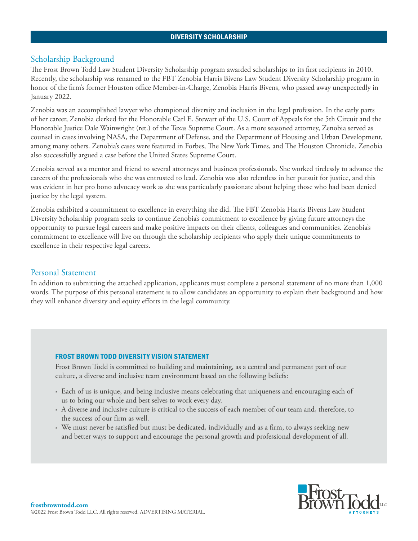#### DIVERSITY SCHOLARSHIP

#### Scholarship Background

The Frost Brown Todd Law Student Diversity Scholarship program awarded scholarships to its first recipients in 2010. Recently, the scholarship was renamed to the FBT Zenobia Harris Bivens Law Student Diversity Scholarship program in honor of the firm's former Houston office Member-in-Charge, Zenobia Harris Bivens, who passed away unexpectedly in January 2022.

Zenobia was an accomplished lawyer who championed diversity and inclusion in the legal profession. In the early parts of her career, Zenobia clerked for the Honorable Carl E. Stewart of the U.S. Court of Appeals for the 5th Circuit and the Honorable Justice Dale Wainwright (ret.) of the Texas Supreme Court. As a more seasoned attorney, Zenobia served as counsel in cases involving NASA, the Department of Defense, and the Department of Housing and Urban Development, among many others. Zenobia's cases were featured in Forbes, The New York Times, and The Houston Chronicle. Zenobia also successfully argued a case before the United States Supreme Court.

Zenobia served as a mentor and friend to several attorneys and business professionals. She worked tirelessly to advance the careers of the professionals who she was entrusted to lead. Zenobia was also relentless in her pursuit for justice, and this was evident in her pro bono advocacy work as she was particularly passionate about helping those who had been denied justice by the legal system.

Zenobia exhibited a commitment to excellence in everything she did. The FBT Zenobia Harris Bivens Law Student Diversity Scholarship program seeks to continue Zenobia's commitment to excellence by giving future attorneys the opportunity to pursue legal careers and make positive impacts on their clients, colleagues and communities. Zenobia's commitment to excellence will live on through the scholarship recipients who apply their unique commitments to excellence in their respective legal careers.

#### Personal Statement

In addition to submitting the attached application, applicants must complete a personal statement of no more than 1,000 words. The purpose of this personal statement is to allow candidates an opportunity to explain their background and how they will enhance diversity and equity efforts in the legal community.

#### FROST BROWN TODD DIVERSITY VISION STATEMENT

Frost Brown Todd is committed to building and maintaining, as a central and permanent part of our culture, a diverse and inclusive team environment based on the following beliefs:

- **∙** Each of us is unique, and being inclusive means celebrating that uniqueness and encouraging each of us to bring our whole and best selves to work every day.
- **∙** A diverse and inclusive culture is critical to the success of each member of our team and, therefore, to the success of our firm as well.
- **∙** We must never be satisfied but must be dedicated, individually and as a firm, to always seeking new and better ways to support and encourage the personal growth and professional development of all.

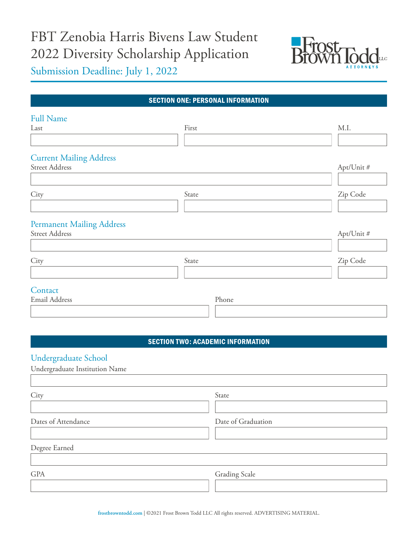# FBT Zenobia Harris Bivens Law Student 2022 Diversity Scholarship Application



Submission Deadline: July 1, 2022

| <b>SECTION ONE: PERSONAL INFORMATION</b> |       |            |
|------------------------------------------|-------|------------|
| <b>Full Name</b>                         |       |            |
| Last                                     | First | M.I.       |
|                                          |       |            |
| <b>Current Mailing Address</b>           |       |            |
| <b>Street Address</b>                    |       | Apt/Unit # |
|                                          |       |            |
| City                                     | State | Zip Code   |
|                                          |       |            |
| <b>Permanent Mailing Address</b>         |       |            |
| <b>Street Address</b>                    |       | Apt/Unit # |
|                                          |       |            |
| City                                     | State | Zip Code   |
|                                          |       |            |
| Contact                                  |       |            |
| <b>Email Address</b>                     | Phone |            |
|                                          |       |            |

#### SECTION TWO: ACADEMIC INFORMATION

## Undergraduate School

| Undergraduate Institution Name |                      |
|--------------------------------|----------------------|
|                                |                      |
| City                           | State                |
|                                |                      |
| Dates of Attendance            | Date of Graduation   |
|                                |                      |
| Degree Earned                  |                      |
|                                |                      |
| <b>GPA</b>                     | <b>Grading Scale</b> |
|                                |                      |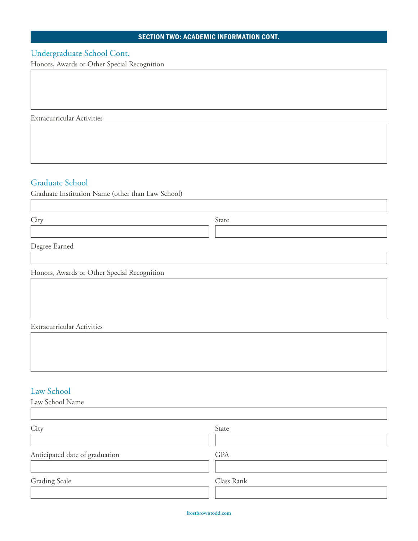#### SECTION TWO: ACADEMIC INFORMATION CONT.

# Undergraduate School Cont.

Honors, Awards or Other Special Recognition

Extracurricular Activities

## Graduate School

Graduate Institution Name (other than Law School)

City State

Degree Earned

Honors, Awards or Other Special Recognition

Extracurricular Activities

#### Law School

| Law School Name                |            |  |
|--------------------------------|------------|--|
|                                |            |  |
| City                           | State      |  |
|                                |            |  |
| Anticipated date of graduation | <b>GPA</b> |  |
|                                |            |  |
| <b>Grading Scale</b>           | Class Rank |  |
|                                |            |  |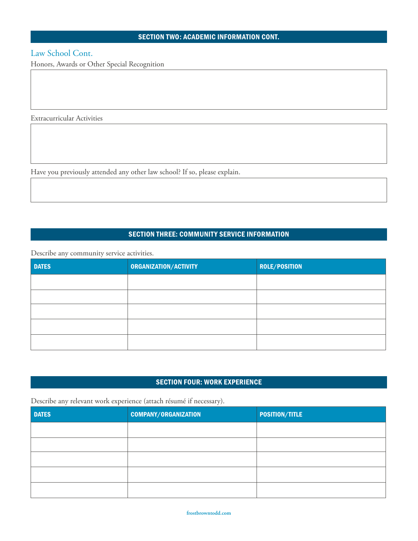#### SECTION TWO: ACADEMIC INFORMATION CONT.

### Law School Cont.

Honors, Awards or Other Special Recognition

Extracurricular Activities

Have you previously attended any other law school? If so, please explain.

#### SECTION THREE: COMMUNITY SERVICE INFORMATION

Describe any community service activities.

| <b>DATES</b> | ORGANIZATION/ACTIVITY | <b>ROLE/POSITION</b> |
|--------------|-----------------------|----------------------|
|              |                       |                      |
|              |                       |                      |
|              |                       |                      |
|              |                       |                      |
|              |                       |                      |

#### SECTION FOUR: WORK EXPERIENCE

Describe any relevant work experience (attach résumé if necessary).

| <b>DATES</b> | <b>COMPANY/ORGANIZATION</b> | <b>POSITION/TITLE</b> |
|--------------|-----------------------------|-----------------------|
|              |                             |                       |
|              |                             |                       |
|              |                             |                       |
|              |                             |                       |
|              |                             |                       |